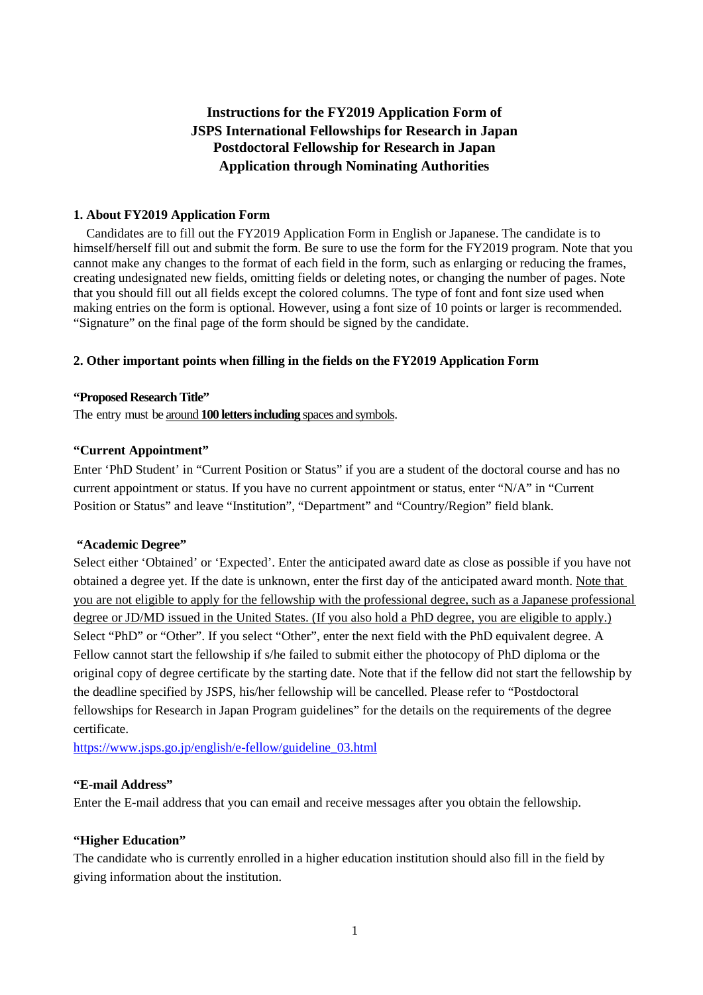# **Instructions for the FY2019 Application Form of JSPS International Fellowships for Research in Japan Postdoctoral Fellowship for Research in Japan Application through Nominating Authorities**

# **1. About FY2019 Application Form**

Candidates are to fill out the FY2019 Application Form in English or Japanese. The candidate is to himself/herself fill out and submit the form. Be sure to use the form for the FY2019 program. Note that you cannot make any changes to the format of each field in the form, such as enlarging or reducing the frames, creating undesignated new fields, omitting fields or deleting notes, or changing the number of pages. Note that you should fill out all fields except the colored columns. The type of font and font size used when making entries on the form is optional. However, using a font size of 10 points or larger is recommended. "Signature" on the final page of the form should be signed by the candidate.

### **2. Other important points when filling in the fields on the FY2019 Application Form**

### **"Proposed Research Title"**

The entry must be around **100 letters including** spaces and symbols.

### **"Current Appointment"**

Enter 'PhD Student' in "Current Position or Status" if you are a student of the doctoral course and has no current appointment or status. If you have no current appointment or status, enter "N/A" in "Current Position or Status" and leave "Institution", "Department" and "Country/Region" field blank.

### **"Academic Degree"**

Select either 'Obtained' or 'Expected'. Enter the anticipated award date as close as possible if you have not obtained a degree yet. If the date is unknown, enter the first day of the anticipated award month. Note that you are not eligible to apply for the fellowship with the professional degree, such as a Japanese professional degree or JD/MD issued in the United States. (If you also hold a PhD degree, you are eligible to apply.) Select "PhD" or "Other". If you select "Other", enter the next field with the PhD equivalent degree. A Fellow cannot start the fellowship if s/he failed to submit either the photocopy of PhD diploma or the original copy of degree certificate by the starting date. Note that if the fellow did not start the fellowship by the deadline specified by JSPS, his/her fellowship will be cancelled. Please refer to "Postdoctoral fellowships for Research in Japan Program guidelines" for the details on the requirements of the degree certificate.

https://www.jsps.go.jp/english/e-fellow/guideline\_03.html

#### **"E-mail Address"**

Enter the E-mail address that you can email and receive messages after you obtain the fellowship.

# **"Higher Education"**

The candidate who is currently enrolled in a higher education institution should also fill in the field by giving information about the institution.